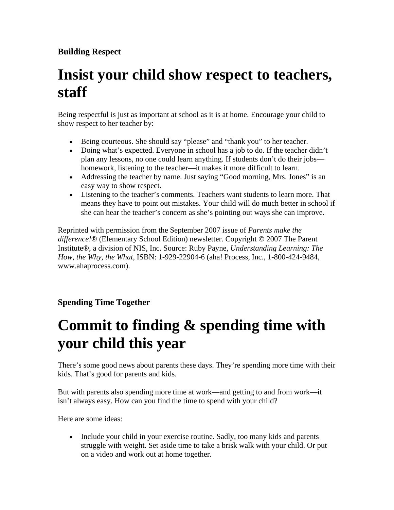#### **Building Respect**

## **Insist your child show respect to teachers, staff**

Being respectful is just as important at school as it is at home. Encourage your child to show respect to her teacher by:

- Being courteous. She should say "please" and "thank you" to her teacher.
- Doing what's expected. Everyone in school has a job to do. If the teacher didn't plan any lessons, no one could learn anything. If students don't do their jobs homework, listening to the teacher—it makes it more difficult to learn.
- Addressing the teacher by name. Just saying "Good morning, Mrs. Jones" is an easy way to show respect.
- Listening to the teacher's comments. Teachers want students to learn more. That means they have to point out mistakes. Your child will do much better in school if she can hear the teacher's concern as she's pointing out ways she can improve.

Reprinted with permission from the September 2007 issue of *Parents make the difference!*® (Elementary School Edition) newsletter. Copyright © 2007 The Parent Institute®, a division of NIS, Inc. Source: Ruby Payne, *Understanding Learning: The How, the Why, the What*, ISBN: 1-929-22904-6 (aha! Process, Inc., 1-800-424-9484, www.ahaprocess.com).

#### **Spending Time Together**

# **Commit to finding & spending time with your child this year**

There's some good news about parents these days. They're spending more time with their kids. That's good for parents and kids.

But with parents also spending more time at work—and getting to and from work—it isn't always easy. How can you find the time to spend with your child?

Here are some ideas:

• Include your child in your exercise routine. Sadly, too many kids and parents struggle with weight. Set aside time to take a brisk walk with your child. Or put on a video and work out at home together.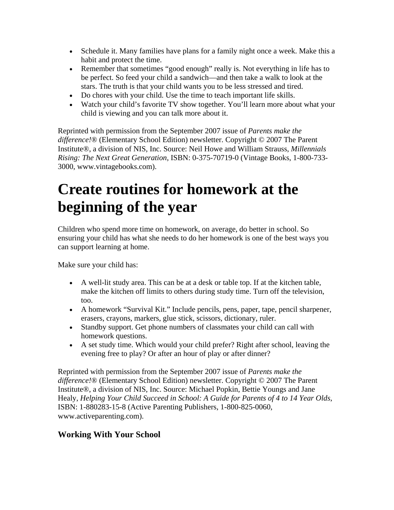- Schedule it. Many families have plans for a family night once a week. Make this a habit and protect the time.
- Remember that sometimes "good enough" really is. Not everything in life has to be perfect. So feed your child a sandwich—and then take a walk to look at the stars. The truth is that your child wants you to be less stressed and tired.
- Do chores with your child. Use the time to teach important life skills.
- Watch your child's favorite TV show together. You'll learn more about what your child is viewing and you can talk more about it.

Reprinted with permission from the September 2007 issue of *Parents make the difference!*® (Elementary School Edition) newsletter. Copyright © 2007 The Parent Institute®, a division of NIS, Inc. Source: Neil Howe and William Strauss, *Millennials Rising: The Next Great Generation*, ISBN: 0-375-70719-0 (Vintage Books, 1-800-733- 3000, www.vintagebooks.com).

### **Create routines for homework at the beginning of the year**

Children who spend more time on homework, on average, do better in school. So ensuring your child has what she needs to do her homework is one of the best ways you can support learning at home.

Make sure your child has:

- A well-lit study area. This can be at a desk or table top. If at the kitchen table, make the kitchen off limits to others during study time. Turn off the television, too.
- A homework "Survival Kit." Include pencils, pens, paper, tape, pencil sharpener, erasers, crayons, markers, glue stick, scissors, dictionary, ruler.
- Standby support. Get phone numbers of classmates your child can call with homework questions.
- A set study time. Which would your child prefer? Right after school, leaving the evening free to play? Or after an hour of play or after dinner?

Reprinted with permission from the September 2007 issue of *Parents make the difference!*® (Elementary School Edition) newsletter. Copyright © 2007 The Parent Institute®, a division of NIS, Inc. Source: Michael Popkin, Bettie Youngs and Jane Healy, *Helping Your Child Succeed in School: A Guide for Parents of 4 to 14 Year Olds*, ISBN: 1-880283-15-8 (Active Parenting Publishers, 1-800-825-0060, www.activeparenting.com).

#### **Working With Your School**